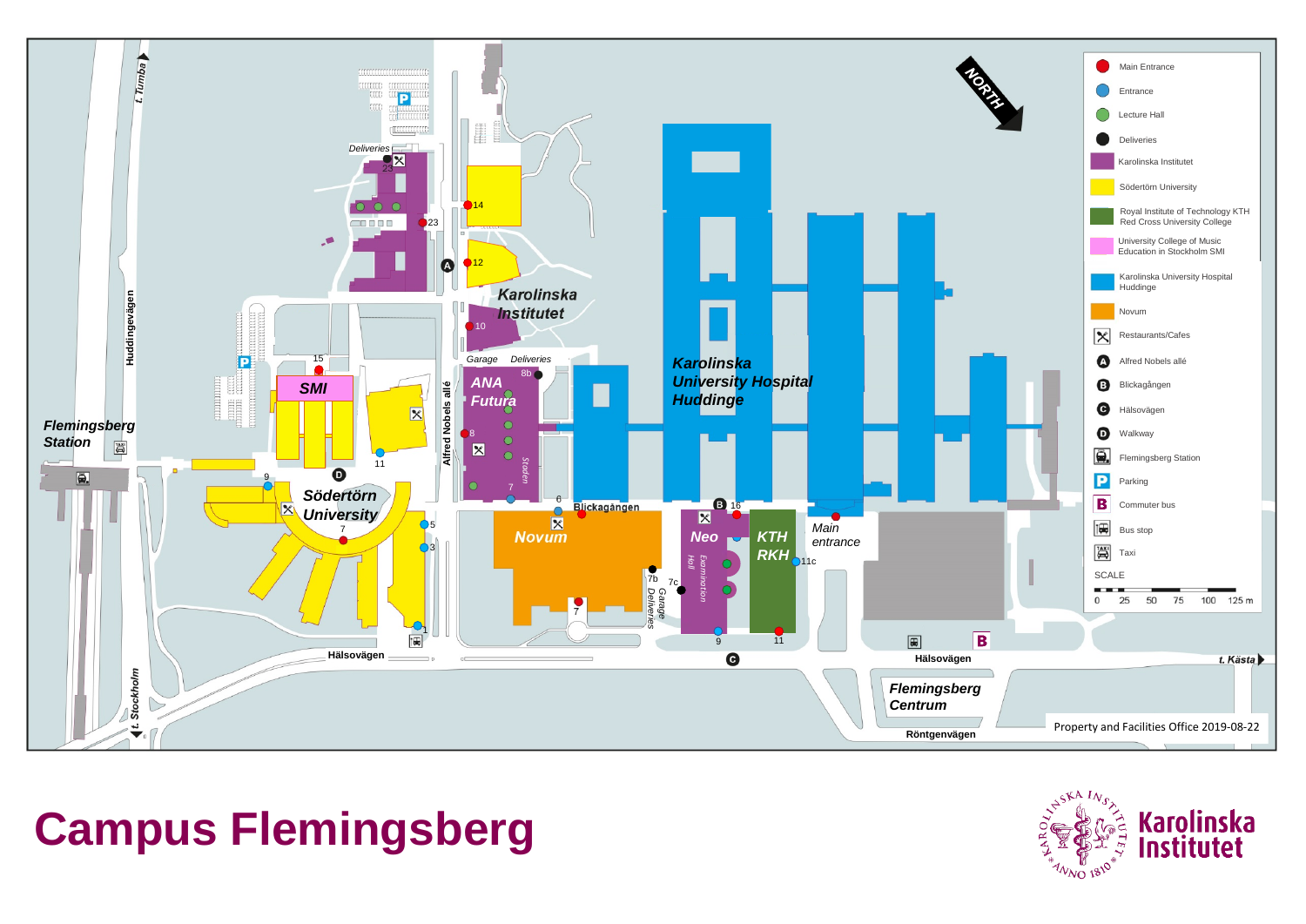

# **Campus Flemingsberg**